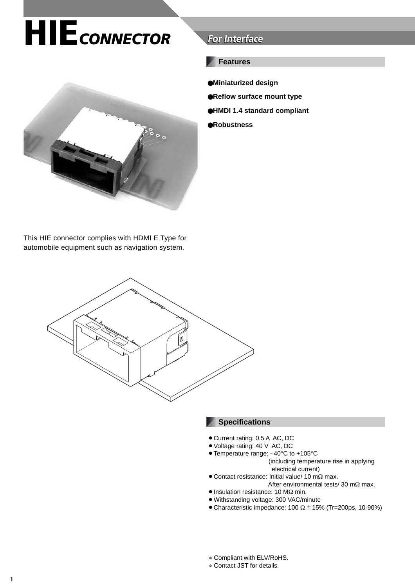# **HIE***CONNECTOR* **For Interface For Interface**



### **Features**

- ●**Miniaturized design**
- ●**Reflow surface mount type**
- ●**HMDI 1.4 standard compliant**
- ●**Robustness**

This HIE connector complies with HDMI E Type for automobile equipment such as navigation system.



#### **Specifications**

- Current rating: 0.5 A AC, DC
- ¡Voltage rating: 40 V AC, DC
- Temperature range: -40°C to +105°C (including temperature rise in applying electrical current)
- $\bullet$  Contact resistance: Initial value/ 10 mΩ max. After environmental tests/ 30 mΩ max.
- Insulation resistance: 10 MΩ min.
- ¡Withstanding voltage: 300 VAC/minute
- Characteristic impedance: 100  $\Omega \pm 15$ % (Tr=200ps, 10-90%)
- ∗ Compliant with ELV/RoHS.
- ∗ Contact JST for details.